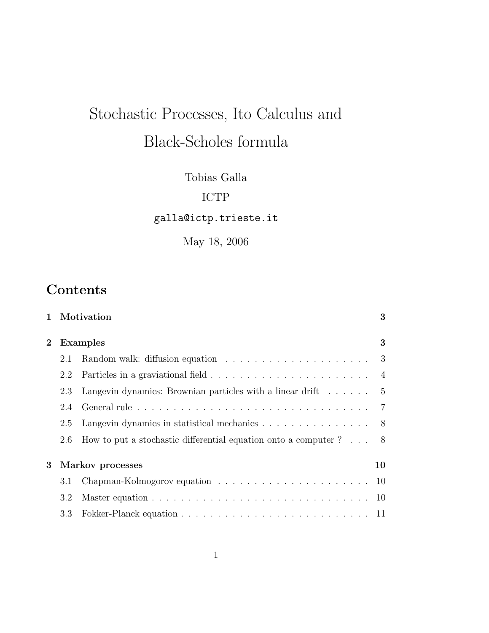# Stochastic Processes, Ito Calculus and Black-Scholes formula

Tobias Galla

## ICTP

galla@ictp.trieste.it

May 18, 2006

## **Contents**

|                       |                 | 1 Motivation                                                               | 3  |
|-----------------------|-----------------|----------------------------------------------------------------------------|----|
| $\mathbf{2}$          | <b>Examples</b> |                                                                            | 3  |
|                       | 2.1             |                                                                            |    |
|                       | 2.2             |                                                                            |    |
|                       | 2.3             | Langevin dynamics: Brownian particles with a linear drift $\dots \dots$ 5  |    |
|                       | 2.4             |                                                                            |    |
|                       | 2.5             | Langevin dynamics in statistical mechanics 8                               |    |
|                       | 2.6             | How to put a stochastic differential equation onto a computer $? \ldots 8$ |    |
| Markov processes<br>3 |                 |                                                                            | 10 |
|                       | 3.1             |                                                                            |    |
|                       | 3.2             |                                                                            |    |
|                       | 3.3             |                                                                            |    |
|                       |                 |                                                                            |    |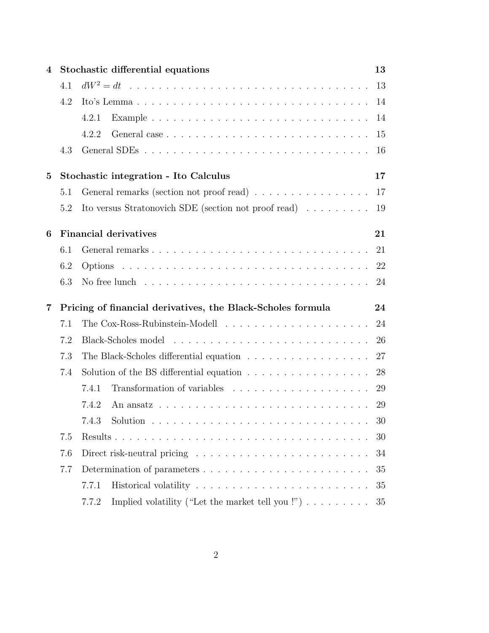| 4        | Stochastic differential equations                                 |                                                                                            |    |  |  |
|----------|-------------------------------------------------------------------|--------------------------------------------------------------------------------------------|----|--|--|
|          | 4.1                                                               |                                                                                            | 13 |  |  |
|          | 4.2                                                               |                                                                                            | 14 |  |  |
|          |                                                                   | Example $\ldots \ldots \ldots \ldots \ldots \ldots \ldots \ldots \ldots \ldots$<br>4.2.1   | 14 |  |  |
|          |                                                                   | 4.2.2                                                                                      | 15 |  |  |
|          | 4.3                                                               |                                                                                            | 16 |  |  |
| $\bf{5}$ | Stochastic integration - Ito Calculus<br>17                       |                                                                                            |    |  |  |
|          | 5.1                                                               | General remarks (section not proof read)                                                   | 17 |  |  |
|          | 5.2                                                               | Ito versus Stratonovich SDE (section not proof read) $\ldots \ldots \ldots$                | 19 |  |  |
| 6        |                                                                   | <b>Financial derivatives</b>                                                               | 21 |  |  |
|          | 6.1                                                               |                                                                                            | 21 |  |  |
|          | 6.2                                                               |                                                                                            | 22 |  |  |
|          | 6.3                                                               | No free lunch $\dots \dots \dots \dots \dots \dots \dots \dots \dots \dots \dots \dots$    | 24 |  |  |
| 7        | Pricing of financial derivatives, the Black-Scholes formula<br>24 |                                                                                            |    |  |  |
|          | 7.1                                                               |                                                                                            | 24 |  |  |
|          | 7.2                                                               |                                                                                            | 26 |  |  |
|          | 7.3                                                               |                                                                                            | 27 |  |  |
|          | 7.4                                                               | Solution of the BS differential equation $\ldots \ldots \ldots \ldots \ldots$              | 28 |  |  |
|          |                                                                   | 7.4.1                                                                                      | 29 |  |  |
|          |                                                                   | An ansatz $\ldots \ldots \ldots \ldots \ldots \ldots \ldots \ldots \ldots \ldots$<br>7.4.2 | 29 |  |  |
|          |                                                                   | 7.4.3 Solution                                                                             | 30 |  |  |
|          | 7.5                                                               |                                                                                            | 30 |  |  |
|          | 7.6                                                               |                                                                                            |    |  |  |
|          |                                                                   |                                                                                            | 34 |  |  |
|          | 7.7                                                               |                                                                                            | 35 |  |  |
|          |                                                                   | 7.7.1                                                                                      | 35 |  |  |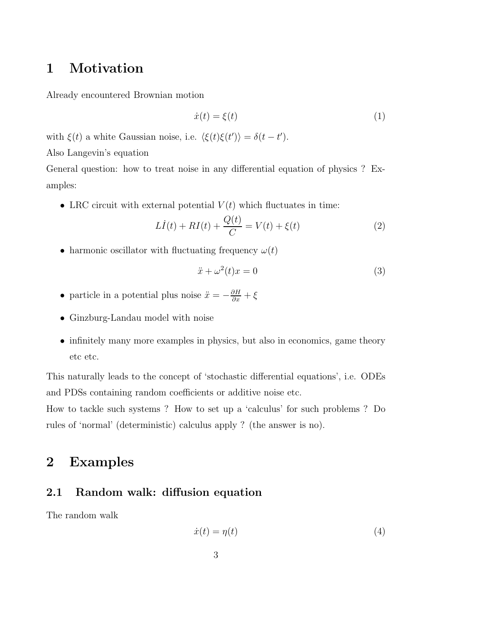## 1 Motivation

Already encountered Brownian motion

$$
\dot{x}(t) = \xi(t) \tag{1}
$$

with  $\xi(t)$  a white Gaussian noise, i.e.  $\langle \xi(t)\xi(t') \rangle = \delta(t - t').$ 

Also Langevin's equation

General question: how to treat noise in any differential equation of physics ? Examples:

• LRC circuit with external potential  $V(t)$  which fluctuates in time:

$$
L\dot{I}(t) + RI(t) + \frac{Q(t)}{C} = V(t) + \xi(t)
$$
 (2)

• harmonic oscillator with fluctuating frequency  $\omega(t)$ 

$$
\ddot{x} + \omega^2(t)x = 0\tag{3}
$$

- particle in a potential plus noise  $\ddot{x} = -\frac{\partial H}{\partial x} + \xi$
- Ginzburg-Landau model with noise
- infinitely many more examples in physics, but also in economics, game theory etc etc.

This naturally leads to the concept of 'stochastic differential equations', i.e. ODEs and PDSs containing random coefficients or additive noise etc.

How to tackle such systems ? How to set up a 'calculus' for such problems ? Do rules of 'normal' (deterministic) calculus apply ? (the answer is no).

## 2 Examples

### 2.1 Random walk: diffusion equation

The random walk

$$
\dot{x}(t) = \eta(t) \tag{4}
$$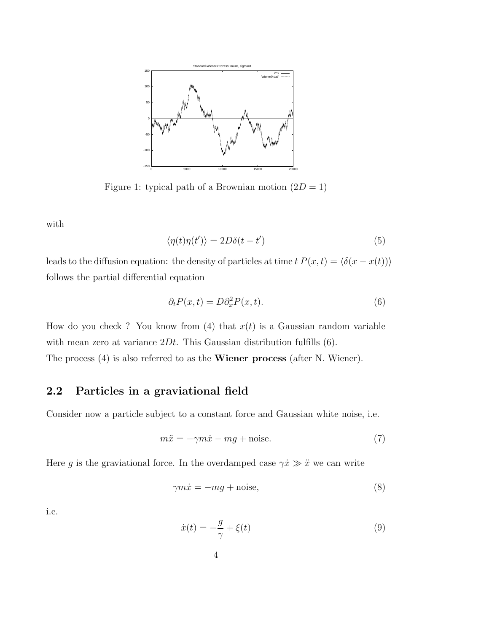

Figure 1: typical path of a Brownian motion  $(2D = 1)$ 

with

$$
\langle \eta(t)\eta(t')\rangle = 2D\delta(t - t')
$$
\n(5)

leads to the diffusion equation: the density of particles at time  $t P(x,t) = \langle \delta(x - x(t)) \rangle$ follows the partial differential equation

$$
\partial_t P(x,t) = D \partial_x^2 P(x,t). \tag{6}
$$

How do you check ? You know from (4) that  $x(t)$  is a Gaussian random variable with mean zero at variance  $2Dt$ . This Gaussian distribution fulfills  $(6)$ . The process (4) is also referred to as the Wiener process (after N. Wiener).

#### 2.2 Particles in a graviational field

Consider now a particle subject to a constant force and Gaussian white noise, i.e.

$$
m\ddot{x} = -\gamma m\dot{x} - mg + \text{noise.} \tag{7}
$$

Here g is the graviational force. In the overdamped case  $\gamma \dot{x} \gg \ddot{x}$  we can write

$$
\gamma m \dot{x} = -mg + \text{noise},\tag{8}
$$

i.e.

$$
\dot{x}(t) = -\frac{g}{\gamma} + \xi(t) \tag{9}
$$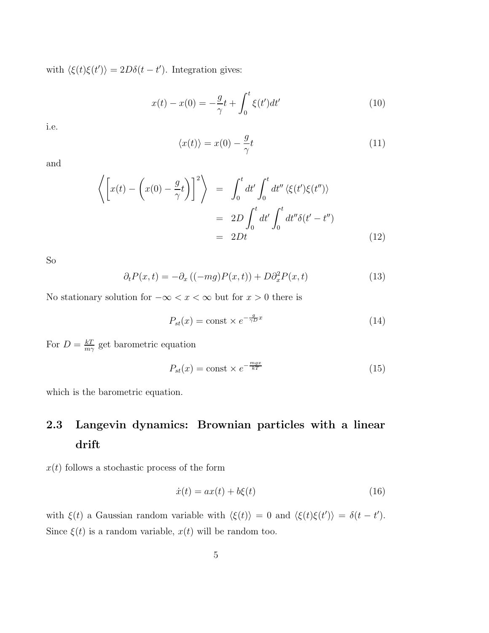with  $\langle \xi(t)\xi(t')\rangle = 2D\delta(t-t')$ . Integration gives:

$$
x(t) - x(0) = -\frac{g}{\gamma}t + \int_0^t \xi(t')dt' \tag{10}
$$

i.e.

$$
\langle x(t) \rangle = x(0) - \frac{g}{\gamma}t \tag{11}
$$

and

$$
\left\langle \left[ x(t) - \left( x(0) - \frac{g}{\gamma} t \right) \right]^2 \right\rangle = \int_0^t dt' \int_0^t dt'' \left\langle \xi(t') \xi(t'') \right\rangle
$$
  
= 
$$
2D \int_0^t dt' \int_0^t dt'' \delta(t' - t'')
$$
  
= 
$$
2Dt \tag{12}
$$

So

$$
\partial_t P(x,t) = -\partial_x ((-mg)P(x,t)) + D\partial_x^2 P(x,t) \tag{13}
$$

No stationary solution for  $-\infty < x < \infty$  but for  $x > 0$  there is

$$
P_{st}(x) = \text{const} \times e^{-\frac{g}{\gamma D}x} \tag{14}
$$

For  $D = \frac{kT}{mc}$  $\frac{kT}{m\gamma}$  get barometric equation

$$
P_{st}(x) = \text{const} \times e^{-\frac{mgx}{kT}}
$$
\n(15)

which is the barometric equation.

## 2.3 Langevin dynamics: Brownian particles with a linear drift

 $x(t)$  follows a stochastic process of the form

$$
\dot{x}(t) = ax(t) + b\xi(t) \tag{16}
$$

with  $\xi(t)$  a Gaussian random variable with  $\langle \xi(t) \rangle = 0$  and  $\langle \xi(t) \xi(t') \rangle = \delta(t - t')$ . Since  $\xi(t)$  is a random variable,  $x(t)$  will be random too.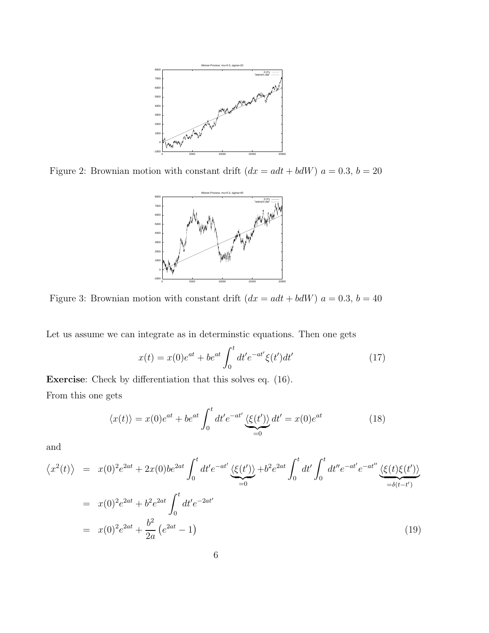

Figure 2: Brownian motion with constant drift  $(dx = adt + bdW)$   $a = 0.3$ ,  $b = 20$ 



Figure 3: Brownian motion with constant drift  $(dx = adt + bdW)$   $a = 0.3$ ,  $b = 40$ 

Let us assume we can integrate as in determinstic equations. Then one gets

$$
x(t) = x(0)e^{at} + be^{at} \int_0^t dt' e^{-at'} \xi(t')dt'
$$
 (17)

Exercise: Check by differentiation that this solves eq. (16). From this one gets

$$
\langle x(t) \rangle = x(0)e^{at} + be^{at} \int_0^t dt' e^{-at'} \underbrace{\langle \xi(t') \rangle}_{=0} dt' = x(0)e^{at}
$$
 (18)

and

$$
\langle x^2(t) \rangle = x(0)^2 e^{2at} + 2x(0) b e^{2at} \int_0^t dt' e^{-at'} \underbrace{\langle \xi(t') \rangle}_{=0} + b^2 e^{2at} \int_0^t dt' \int_0^t dt'' e^{-at'} e^{-at''} \underbrace{\langle \xi(t) \xi(t') \rangle}_{= \delta(t-t')}
$$
  
=  $x(0)^2 e^{2at} + b^2 e^{2at} \int_0^t dt' e^{-2at'}$   
=  $x(0)^2 e^{2at} + \frac{b^2}{2a} (e^{2at} - 1)$  (19)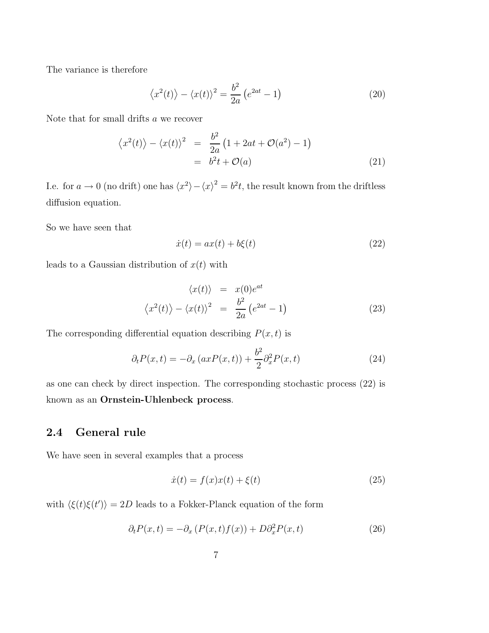The variance is therefore

$$
\langle x^2(t) \rangle - \langle x(t) \rangle^2 = \frac{b^2}{2a} \left( e^{2at} - 1 \right) \tag{20}
$$

Note that for small drifts a we recover

$$
\langle x^2(t) \rangle - \langle x(t) \rangle^2 = \frac{b^2}{2a} \left( 1 + 2at + \mathcal{O}(a^2) - 1 \right)
$$
  
= 
$$
b^2 t + \mathcal{O}(a)
$$
 (21)

I.e. for  $a \to 0$  (no drift) one has  $\langle x^2 \rangle - \langle x \rangle^2 = b^2 t$ , the result known from the driftless diffusion equation.

So we have seen that

$$
\dot{x}(t) = ax(t) + b\xi(t) \tag{22}
$$

leads to a Gaussian distribution of  $x(t)$  with

$$
\langle x(t) \rangle = x(0)e^{at}
$$
  

$$
\langle x^2(t) \rangle - \langle x(t) \rangle^2 = \frac{b^2}{2a}(e^{2at} - 1)
$$
 (23)

The corresponding differential equation describing  $P(x,t)$  is

$$
\partial_t P(x,t) = -\partial_x (axP(x,t)) + \frac{b^2}{2} \partial_x^2 P(x,t) \tag{24}
$$

as one can check by direct inspection. The corresponding stochastic process (22) is known as an Ornstein-Uhlenbeck process.

### 2.4 General rule

We have seen in several examples that a process

$$
\dot{x}(t) = f(x)x(t) + \xi(t) \tag{25}
$$

with  $\langle \xi(t)\xi(t')\rangle = 2D$  leads to a Fokker-Planck equation of the form

$$
\partial_t P(x,t) = -\partial_x \left( P(x,t)f(x) \right) + D\partial_x^2 P(x,t) \tag{26}
$$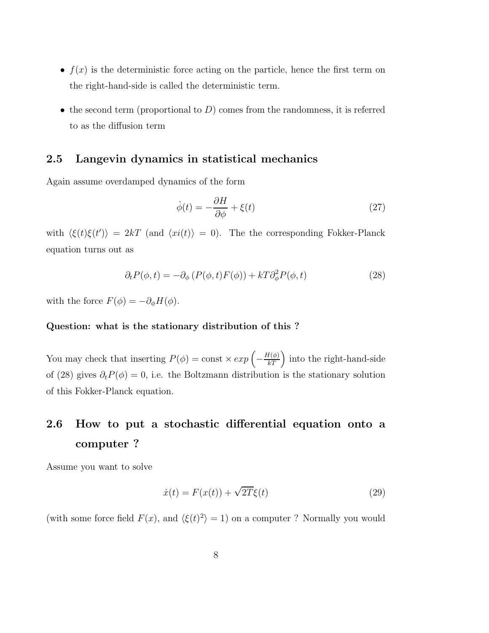- $f(x)$  is the deterministic force acting on the particle, hence the first term on the right-hand-side is called the deterministic term.
- the second term (proportional to  $D$ ) comes from the randomness, it is referred to as the diffusion term

#### 2.5 Langevin dynamics in statistical mechanics

Again assume overdamped dynamics of the form

$$
\dot{\phi}(t) = -\frac{\partial H}{\partial \phi} + \xi(t) \tag{27}
$$

with  $\langle \xi(t)\xi(t')\rangle = 2kT$  (and  $\langle xi(t)\rangle = 0$ ). The the corresponding Fokker-Planck equation turns out as

$$
\partial_t P(\phi, t) = -\partial_\phi \left( P(\phi, t) F(\phi) \right) + kT \partial_\phi^2 P(\phi, t) \tag{28}
$$

with the force  $F(\phi) = -\partial_{\phi}H(\phi)$ .

#### Question: what is the stationary distribution of this ?

You may check that inserting  $P(\phi) = \text{const} \times exp\left(-\frac{H(\phi)}{kT}\right)$  $kT$ ) into the right-hand-side of (28) gives  $\partial_t P(\phi) = 0$ , i.e. the Boltzmann distribution is the stationary solution of this Fokker-Planck equation.

## 2.6 How to put a stochastic differential equation onto a computer ?

Assume you want to solve

$$
\dot{x}(t) = F(x(t)) + \sqrt{2T}\xi(t) \tag{29}
$$

(with some force field  $F(x)$ , and  $\langle \xi(t)^2 \rangle = 1$ ) on a computer ? Normally you would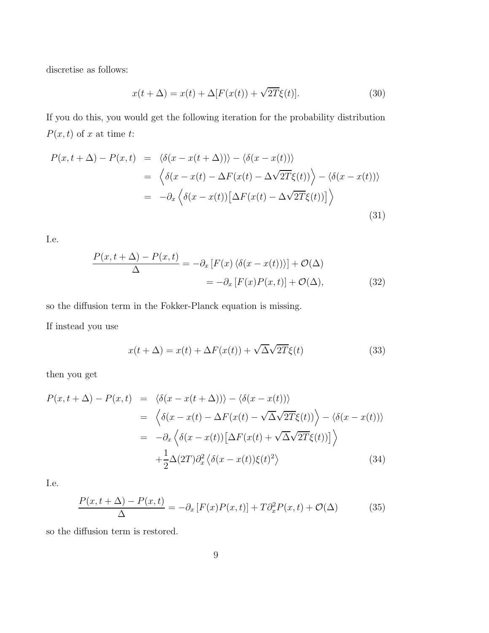discretise as follows:

$$
x(t + \Delta) = x(t) + \Delta[F(x(t)) + \sqrt{2T}\xi(t)].
$$
\n(30)

If you do this, you would get the following iteration for the probability distribution  $P(x,t)$  of x at time t:

$$
P(x, t + \Delta) - P(x, t) = \langle \delta(x - x(t + \Delta)) \rangle - \langle \delta(x - x(t)) \rangle
$$
  

$$
= \langle \delta(x - x(t) - \Delta F(x(t) - \Delta \sqrt{2T} \xi(t)) \rangle - \langle \delta(x - x(t)) \rangle
$$
  

$$
= -\partial_x \langle \delta(x - x(t)) [\Delta F(x(t) - \Delta \sqrt{2T} \xi(t))] \rangle
$$
(31)

I.e.

$$
\frac{P(x,t+\Delta) - P(x,t)}{\Delta} = -\partial_x \left[ F(x) \left\langle \delta(x - x(t)) \right\rangle \right] + \mathcal{O}(\Delta)
$$

$$
= -\partial_x \left[ F(x)P(x,t) \right] + \mathcal{O}(\Delta), \tag{32}
$$

so the diffusion term in the Fokker-Planck equation is missing.

If instead you use

$$
x(t + \Delta) = x(t) + \Delta F(x(t)) + \sqrt{\Delta} \sqrt{2T} \xi(t)
$$
\n(33)

then you get

$$
P(x, t + \Delta) - P(x, t) = \langle \delta(x - x(t + \Delta)) \rangle - \langle \delta(x - x(t)) \rangle
$$
  

$$
= \langle \delta(x - x(t) - \Delta F(x(t) - \sqrt{\Delta} \sqrt{2T} \xi(t)) \rangle - \langle \delta(x - x(t)) \rangle
$$
  

$$
= -\partial_x \langle \delta(x - x(t)) [\Delta F(x(t) + \sqrt{\Delta} \sqrt{2T} \xi(t))] \rangle
$$
  

$$
+ \frac{1}{2} \Delta(2T) \partial_x^2 \langle \delta(x - x(t)) \xi(t)^2 \rangle
$$
(34)

I.e.

$$
\frac{P(x,t+\Delta) - P(x,t)}{\Delta} = -\partial_x \left[ F(x)P(x,t) \right] + T\partial_x^2 P(x,t) + \mathcal{O}(\Delta) \tag{35}
$$

so the diffusion term is restored.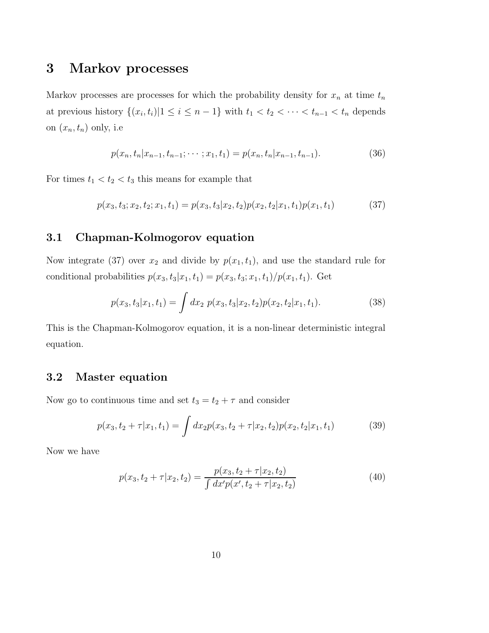## 3 Markov processes

Markov processes are processes for which the probability density for  $x_n$  at time  $t_n$ at previous history  $\{(x_i, t_i) | 1 \leq i \leq n-1\}$  with  $t_1 < t_2 < \cdots < t_{n-1} < t_n$  depends on  $(x_n,t_n)$  only, i.e

$$
p(x_n, t_n | x_{n-1}, t_{n-1}; \cdots; x_1, t_1) = p(x_n, t_n | x_{n-1}, t_{n-1}).
$$
\n(36)

For times  $t_1 < t_2 < t_3$  this means for example that

$$
p(x_3, t_3; x_2, t_2; x_1, t_1) = p(x_3, t_3 | x_2, t_2) p(x_2, t_2 | x_1, t_1) p(x_1, t_1)
$$
(37)

### 3.1 Chapman-Kolmogorov equation

Now integrate (37) over  $x_2$  and divide by  $p(x_1,t_1)$ , and use the standard rule for conditional probabilities  $p(x_3, t_3|x_1, t_1) = p(x_3, t_3; x_1, t_1)/p(x_1, t_1)$ . Get

$$
p(x_3, t_3|x_1, t_1) = \int dx_2 \ p(x_3, t_3|x_2, t_2)p(x_2, t_2|x_1, t_1). \tag{38}
$$

This is the Chapman-Kolmogorov equation, it is a non-linear deterministic integral equation.

### 3.2 Master equation

Now go to continuous time and set  $t_3 = t_2 + \tau$  and consider

$$
p(x_3, t_2 + \tau | x_1, t_1) = \int dx_2 p(x_3, t_2 + \tau | x_2, t_2) p(x_2, t_2 | x_1, t_1)
$$
(39)

Now we have

$$
p(x_3, t_2 + \tau | x_2, t_2) = \frac{p(x_3, t_2 + \tau | x_2, t_2)}{\int dx' p(x', t_2 + \tau | x_2, t_2)}
$$
(40)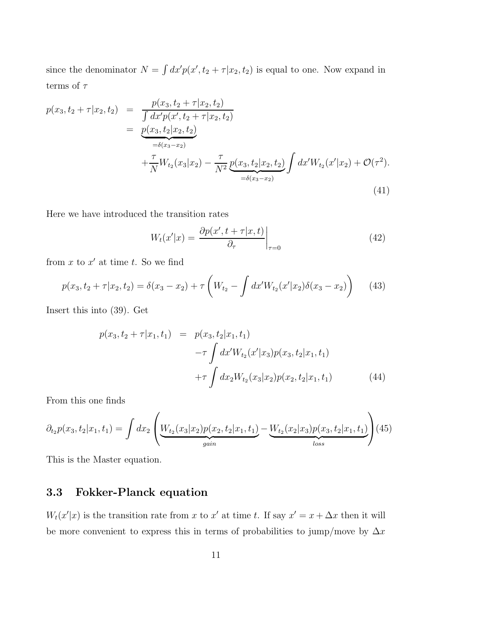since the denominator  $N = \int dx' p(x', t_2 + \tau | x_2, t_2)$  is equal to one. Now expand in terms of  $\tau$ 

$$
p(x_3, t_2 + \tau | x_2, t_2) = \frac{p(x_3, t_2 + \tau | x_2, t_2)}{\int dx' p(x', t_2 + \tau | x_2, t_2)} = \underbrace{p(x_3, t_2 | x_2, t_2)}_{=\delta(x_3 - x_2)} + \frac{\tau}{N} W_{t_2}(x_3 | x_2) - \frac{\tau}{N^2} \underbrace{p(x_3, t_2 | x_2, t_2)}_{=\delta(x_3 - x_2)} \int dx' W_{t_2}(x' | x_2) + \mathcal{O}(\tau^2).
$$
\n(41)

Here we have introduced the transition rates

$$
W_t(x'|x) = \frac{\partial p(x', t + \tau | x, t)}{\partial_\tau}\bigg|_{\tau=0} \tag{42}
$$

from  $x$  to  $x'$  at time  $t$ . So we find

$$
p(x_3, t_2 + \tau | x_2, t_2) = \delta(x_3 - x_2) + \tau \left( W_{t_2} - \int dx' W_{t_2}(x' | x_2) \delta(x_3 - x_2) \right) \tag{43}
$$

Insert this into (39). Get

$$
p(x_3, t_2 + \tau | x_1, t_1) = p(x_3, t_2 | x_1, t_1)
$$

$$
-\tau \int dx' W_{t_2}(x' | x_3) p(x_3, t_2 | x_1, t_1)
$$

$$
+\tau \int dx_2 W_{t_2}(x_3 | x_2) p(x_2, t_2 | x_1, t_1)
$$
(44)

From this one finds

$$
\partial_{t_2} p(x_3, t_2 | x_1, t_1) = \int dx_2 \left( \underbrace{W_{t_2}(x_3 | x_2) p(x_2, t_2 | x_1, t_1)}_{gain} - \underbrace{W_{t_2}(x_2 | x_3) p(x_3, t_2 | x_1, t_1)}_{loss} \right) (45)
$$

This is the Master equation.

### 3.3 Fokker-Planck equation

 $W_t(x'|x)$  is the transition rate from x to x' at time t. If say  $x' = x + \Delta x$  then it will be more convenient to express this in terms of probabilities to jump/move by  $\Delta x$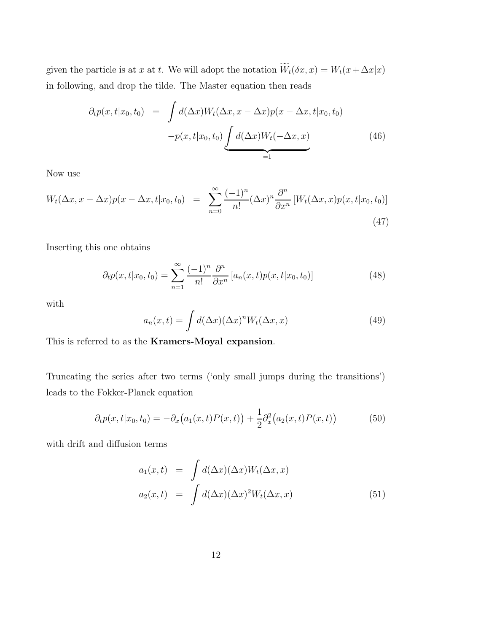given the particle is at x at t. We will adopt the notation  $\widetilde{W}_t(\delta x, x) = W_t(x + \Delta x | x)$ in following, and drop the tilde. The Master equation then reads

$$
\partial_t p(x, t|x_0, t_0) = \int d(\Delta x) W_t(\Delta x, x - \Delta x) p(x - \Delta x, t|x_0, t_0)
$$

$$
-p(x, t|x_0, t_0) \underbrace{\int d(\Delta x) W_t(-\Delta x, x)}_{=1}
$$
(46)

Now use

$$
W_t(\Delta x, x - \Delta x)p(x - \Delta x, t|x_0, t_0) = \sum_{n=0}^{\infty} \frac{(-1)^n}{n!} (\Delta x)^n \frac{\partial^n}{\partial x^n} [W_t(\Delta x, x)p(x, t|x_0, t_0)]
$$
\n(47)

Inserting this one obtains

$$
\partial_t p(x, t|x_0, t_0) = \sum_{n=1}^{\infty} \frac{(-1)^n}{n!} \frac{\partial^n}{\partial x^n} [a_n(x, t) p(x, t|x_0, t_0)] \tag{48}
$$

with

$$
a_n(x,t) = \int d(\Delta x) (\Delta x)^n W_t(\Delta x, x)
$$
\n(49)

This is referred to as the Kramers-Moyal expansion.

Truncating the series after two terms ('only small jumps during the transitions') leads to the Fokker-Planck equation

$$
\partial_t p(x, t | x_0, t_0) = -\partial_x (a_1(x, t) P(x, t)) + \frac{1}{2} \partial_x^2 (a_2(x, t) P(x, t)) \tag{50}
$$

with drift and diffusion terms

$$
a_1(x,t) = \int d(\Delta x)(\Delta x)W_t(\Delta x, x)
$$
  
\n
$$
a_2(x,t) = \int d(\Delta x)(\Delta x)^2W_t(\Delta x, x)
$$
\n(51)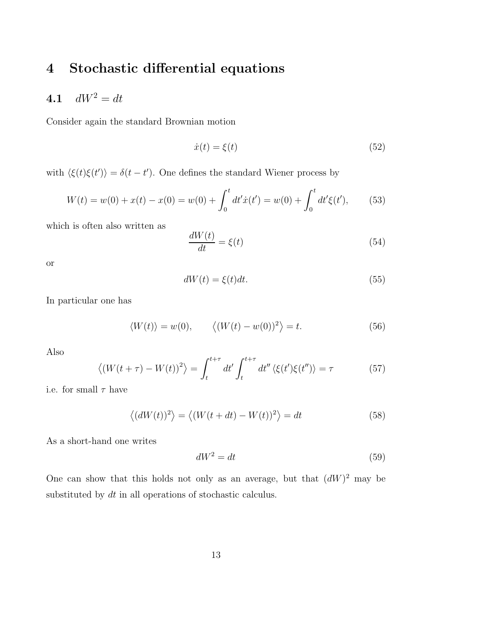## 4 Stochastic differential equations

## 4.1  $dW^2 = dt$

Consider again the standard Brownian motion

$$
\dot{x}(t) = \xi(t) \tag{52}
$$

with  $\langle \xi(t)\xi(t')\rangle = \delta(t-t')$ . One defines the standard Wiener process by

$$
W(t) = w(0) + x(t) - x(0) = w(0) + \int_0^t dt' \dot{x}(t') = w(0) + \int_0^t dt' \xi(t'), \qquad (53)
$$

which is often also written as

$$
\frac{dW(t)}{dt} = \xi(t) \tag{54}
$$

or

$$
dW(t) = \xi(t)dt.
$$
\n(55)

In particular one has

$$
\langle W(t) \rangle = w(0), \qquad \langle (W(t) - w(0))^2 \rangle = t. \tag{56}
$$

Also

$$
\langle (W(t+\tau) - W(t))^2 \rangle = \int_t^{t+\tau} dt' \int_t^{t+\tau} dt'' \langle \xi(t')\xi(t'') \rangle = \tau
$$
 (57)

i.e. for small  $\tau$  have

$$
\langle (dW(t))^{2} \rangle = \langle (W(t+dt) - W(t))^{2} \rangle = dt \qquad (58)
$$

As a short-hand one writes

$$
dW^2 = dt \tag{59}
$$

One can show that this holds not only as an average, but that  $(dW)^2$  may be substituted by  $dt$  in all operations of stochastic calculus.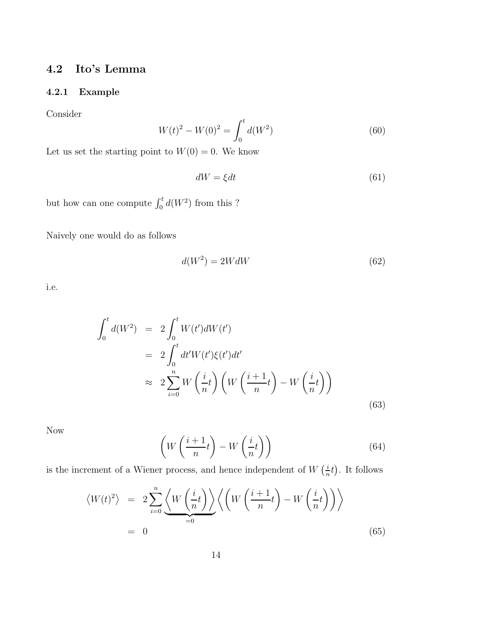## 4.2 Ito's Lemma

#### 4.2.1 Example

Consider

$$
W(t)^{2} - W(0)^{2} = \int_{0}^{t} d(W^{2})
$$
\n(60)

Let us set the starting point to  $W(0) = 0$ . We know

$$
dW = \xi dt \tag{61}
$$

but how can one compute  $\int_0^t d(W^2)$  from this ?

Naively one would do as follows

$$
d(W^2) = 2WdW \tag{62}
$$

i.e.

$$
\int_0^t d(W^2) = 2 \int_0^t W(t')dW(t')
$$
  
\n
$$
= 2 \int_0^t dt' W(t')\xi(t')dt'
$$
  
\n
$$
\approx 2 \sum_{i=0}^n W\left(\frac{i}{n}t\right) \left(W\left(\frac{i+1}{n}t\right) - W\left(\frac{i}{n}t\right)\right)
$$
(63)

Now

$$
\left(W\left(\frac{i+1}{n}t\right) - W\left(\frac{i}{n}t\right)\right) \tag{64}
$$

is the increment of a Wiener process, and hence independent of  $W\left(\frac{i}{n}\right)$  $\frac{i}{n}t$ . It follows

$$
\langle W(t)^2 \rangle = 2 \sum_{i=0}^n \underbrace{\langle W\left(\frac{i}{n}t\right) \rangle}_{=0} \left\langle \left(W\left(\frac{i+1}{n}t\right) - W\left(\frac{i}{n}t\right) \right) \right\rangle
$$
  
= 0 (65)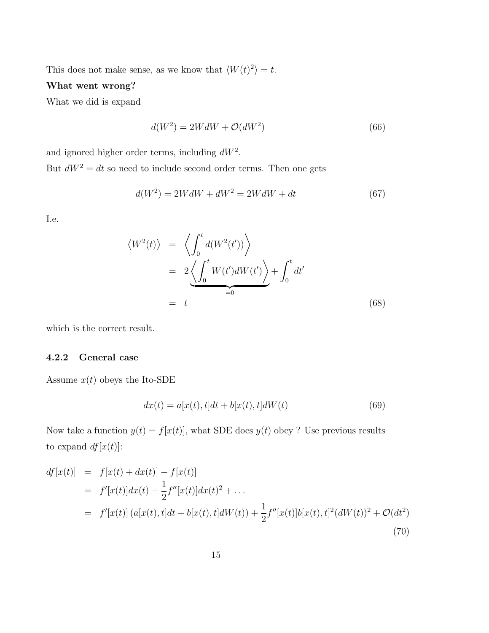This does not make sense, as we know that  $\langle W(t)^2 \rangle = t$ .

#### What went wrong?

What we did is expand

$$
d(W^2) = 2WdW + \mathcal{O}(dW^2)
$$
\n<sup>(66)</sup>

and ignored higher order terms, including  $dW^2$ . But  $dW^2 = dt$  so need to include second order terms. Then one gets

$$
d(W^2) = 2WdW + dW^2 = 2WdW + dt \tag{67}
$$

I.e.

$$
\langle W^{2}(t) \rangle = \left\langle \int_{0}^{t} d(W^{2}(t')) \right\rangle
$$
  
=  $2 \underbrace{\left\langle \int_{0}^{t} W(t') dW(t') \right\rangle}_{=0} + \int_{0}^{t} dt'$   
=  $t$  (68)

which is the correct result.

#### 4.2.2 General case

Assume  $x(t)$  obeys the Ito-SDE

$$
dx(t) = a[x(t), t]dt + b[x(t), t]dW(t)
$$
\n(69)

Now take a function  $y(t) = f[x(t)]$ , what SDE does  $y(t)$  obey ? Use previous results to expand  $df[x(t)]$ :

$$
df[x(t)] = f[x(t) + dx(t)] - f[x(t)]
$$
  
\n
$$
= f'[x(t)]dx(t) + \frac{1}{2}f''[x(t)]dx(t)^{2} + ...
$$
  
\n
$$
= f'[x(t)](a[x(t), t]dt + b[x(t), t]dW(t)) + \frac{1}{2}f''[x(t)]b[x(t), t]^{2}(dW(t))^{2} + \mathcal{O}(dt^{2})
$$
\n(70)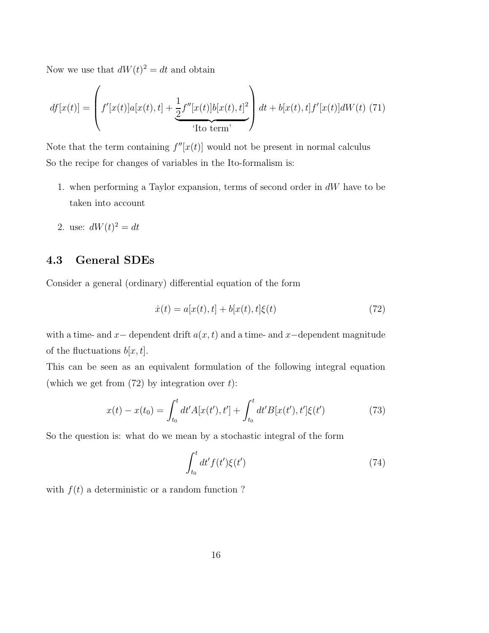Now we use that  $dW(t)^2 = dt$  and obtain

$$
df[x(t)] = \left(f'[x(t)]a[x(t), t] + \frac{1}{2}f''[x(t)]b[x(t), t]^2\right)dt + b[x(t), t]f'[x(t)]dW(t)
$$
 (71)

Note that the term containing  $f''[x(t)]$  would not be present in normal calculus So the recipe for changes of variables in the Ito-formalism is:

- 1. when performing a Taylor expansion, terms of second order in dW have to be taken into account
- 2. use:  $dW(t)^2 = dt$

### 4.3 General SDEs

Consider a general (ordinary) differential equation of the form

$$
\dot{x}(t) = a[x(t), t] + b[x(t), t]\xi(t)
$$
\n(72)

with a time- and x– dependent drift  $a(x, t)$  and a time- and x–dependent magnitude of the fluctuations  $b[x,t]$ .

This can be seen as an equivalent formulation of the following integral equation (which we get from  $(72)$  by integration over t):

$$
x(t) - x(t_0) = \int_{t_0}^t dt' A[x(t'), t'] + \int_{t_0}^t dt' B[x(t'), t']\xi(t')
$$
 (73)

So the question is: what do we mean by a stochastic integral of the form

$$
\int_{t_0}^t dt' f(t') \xi(t')
$$
\n(74)

with  $f(t)$  a deterministic or a random function ?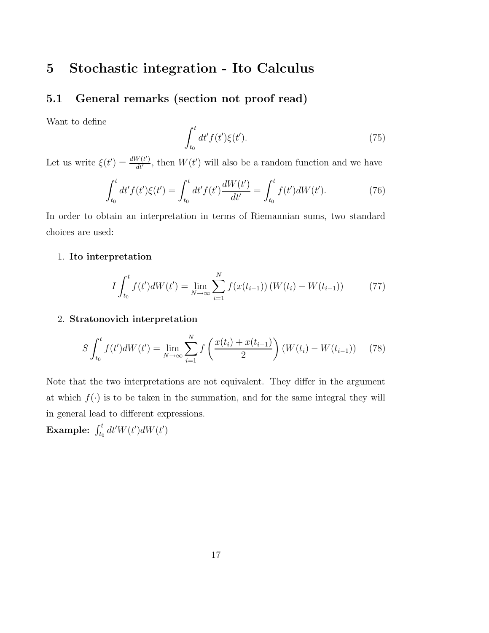## 5 Stochastic integration - Ito Calculus

### 5.1 General remarks (section not proof read)

Want to define

$$
\int_{t_0}^t dt' f(t') \xi(t'). \tag{75}
$$

Let us write  $\xi(t') = \frac{dW(t')}{dt'}$ , then  $W(t')$  will also be a random function and we have

$$
\int_{t_0}^t dt' f(t')\xi(t') = \int_{t_0}^t dt' f(t') \frac{dW(t')}{dt'} = \int_{t_0}^t f(t') dW(t'). \tag{76}
$$

In order to obtain an interpretation in terms of Riemannian sums, two standard choices are used:

#### 1. Ito interpretation

$$
I \int_{t_0}^t f(t') dW(t') = \lim_{N \to \infty} \sum_{i=1}^N f(x(t_{i-1})) (W(t_i) - W(t_{i-1})) \tag{77}
$$

#### 2. Stratonovich interpretation

$$
S \int_{t_0}^t f(t') dW(t') = \lim_{N \to \infty} \sum_{i=1}^N f\left(\frac{x(t_i) + x(t_{i-1})}{2}\right) (W(t_i) - W(t_{i-1})) \tag{78}
$$

Note that the two interpretations are not equivalent. They differ in the argument at which  $f(\cdot)$  is to be taken in the summation, and for the same integral they will in general lead to different expressions.

Example:  $\int_{t_0}^t dt' W(t') dW(t')$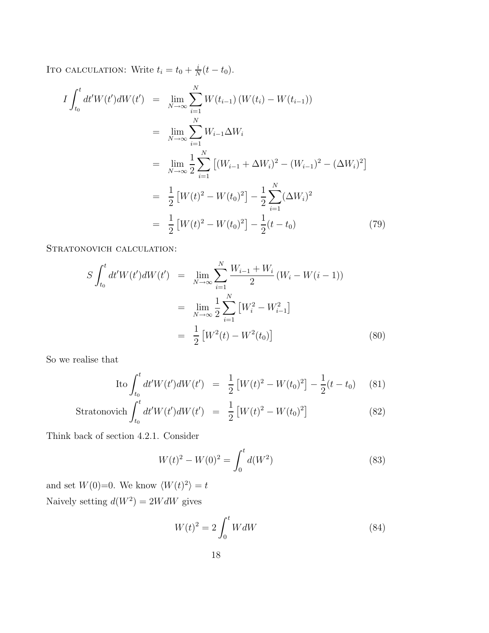Ito calculation: Write  $t_i = t_0 + \frac{i}{\Delta}$  $\frac{i}{N}(t-t_0).$ 

$$
I \int_{t_0}^{t} dt' W(t') dW(t') = \lim_{N \to \infty} \sum_{i=1}^{N} W(t_{i-1}) (W(t_i) - W(t_{i-1}))
$$
  
\n
$$
= \lim_{N \to \infty} \sum_{i=1}^{N} W_{i-1} \Delta W_i
$$
  
\n
$$
= \lim_{N \to \infty} \frac{1}{2} \sum_{i=1}^{N} \left[ (W_{i-1} + \Delta W_i)^2 - (W_{i-1})^2 - (\Delta W_i)^2 \right]
$$
  
\n
$$
= \frac{1}{2} \left[ W(t)^2 - W(t_0)^2 \right] - \frac{1}{2} \sum_{i=1}^{N} (\Delta W_i)^2
$$
  
\n
$$
= \frac{1}{2} \left[ W(t)^2 - W(t_0)^2 \right] - \frac{1}{2} (t - t_0)
$$
 (79)

STRATONOVICH CALCULATION:

$$
S \int_{t_0}^t dt' W(t') dW(t') = \lim_{N \to \infty} \sum_{i=1}^N \frac{W_{i-1} + W_i}{2} (W_i - W(i-1))
$$
  

$$
= \lim_{N \to \infty} \frac{1}{2} \sum_{i=1}^N [W_i^2 - W_{i-1}^2]
$$
  

$$
= \frac{1}{2} [W^2(t) - W^2(t_0)]
$$
 (80)

So we realise that

$$
\text{Ito } \int_{t_0}^t dt' W(t') dW(t') = \frac{1}{2} \left[ W(t)^2 - W(t_0)^2 \right] - \frac{1}{2} (t - t_0) \tag{81}
$$

Stratonovich 
$$
\int_{t_0}^t dt' W(t') dW(t') = \frac{1}{2} [W(t)^2 - W(t_0)^2]
$$
 (82)

Think back of section 4.2.1. Consider

$$
W(t)^{2} - W(0)^{2} = \int_{0}^{t} d(W^{2})
$$
\n(83)

and set  $W(0)=0$ . We know  $\langle W(t)^2 \rangle = t$ Naively setting  $d(W^2) = 2WdW$  gives

$$
W(t)^2 = 2\int_0^t WdW\tag{84}
$$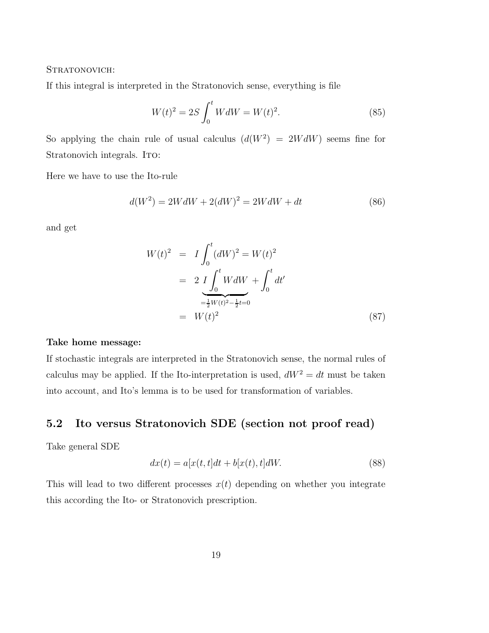#### Stratonovich:

If this integral is interpreted in the Stratonovich sense, everything is file

$$
W(t)^{2} = 2S \int_{0}^{t} W dW = W(t)^{2}.
$$
 (85)

So applying the chain rule of usual calculus  $(d(W^2) = 2WdW)$  seems fine for Stratonovich integrals. ITO:

Here we have to use the Ito-rule

$$
d(W2) = 2WdW + 2(dW)2 = 2WdW + dt
$$
 (86)

and get

$$
W(t)^{2} = I \int_{0}^{t} (dW)^{2} = W(t)^{2}
$$
  
= 
$$
2 I \int_{0}^{t} W dW + \int_{0}^{t} dt'
$$
  
= 
$$
\frac{1}{2} W(t)^{2} - \frac{1}{2} t = 0
$$
  
= 
$$
W(t)^{2}
$$
 (87)

#### Take home message:

If stochastic integrals are interpreted in the Stratonovich sense, the normal rules of calculus may be applied. If the Ito-interpretation is used,  $dW^2 = dt$  must be taken into account, and Ito's lemma is to be used for transformation of variables.

## 5.2 Ito versus Stratonovich SDE (section not proof read)

Take general SDE

$$
dx(t) = a[x(t, t]dt + b[x(t), t]dW.
$$
\n(88)

This will lead to two different processes  $x(t)$  depending on whether you integrate this according the Ito- or Stratonovich prescription.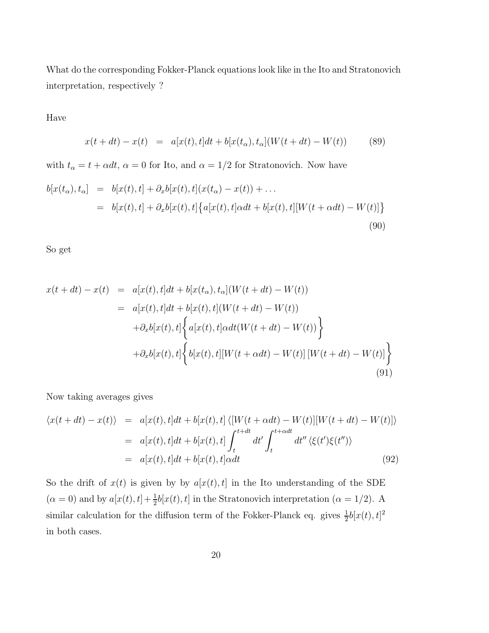What do the corresponding Fokker-Planck equations look like in the Ito and Stratonovich interpretation, respectively ?

#### Have

$$
x(t + dt) - x(t) = a[x(t), t]dt + b[x(t_{\alpha}), t_{\alpha}](W(t + dt) - W(t))
$$
 (89)

with  $t_{\alpha} = t + \alpha dt$ ,  $\alpha = 0$  for Ito, and  $\alpha = 1/2$  for Stratonovich. Now have

$$
b[x(t_{\alpha}), t_{\alpha}] = b[x(t), t] + \partial_x b[x(t), t](x(t_{\alpha}) - x(t)) + \dots
$$
  

$$
= b[x(t), t] + \partial_x b[x(t), t] \{a[x(t), t] \alpha dt + b[x(t), t][W(t + \alpha dt) - W(t)]\}
$$
(90)

So get

$$
x(t+dt) - x(t) = a[x(t), t]dt + b[x(t\alpha), t\alpha](W(t+dt) - W(t))
$$
  
\n
$$
= a[x(t), t]dt + b[x(t), t](W(t+dt) - W(t))
$$
  
\n
$$
+ \partial_x b[x(t), t] \left\{ a[x(t), t] \alpha dt(W(t+dt) - W(t)) \right\}
$$
  
\n
$$
+ \partial_x b[x(t), t] \left\{ b[x(t), t][W(t + \alpha dt) - W(t)][W(t+dt) - W(t)] \right\}
$$
  
\n(91)

Now taking averages gives

$$
\langle x(t+dt) - x(t) \rangle = a[x(t), t]dt + b[x(t), t] \langle [W(t + \alpha dt) - W(t)][W(t+dt) - W(t)] \rangle
$$
  

$$
= a[x(t), t]dt + b[x(t), t] \int_{t}^{t+dt} dt' \int_{t}^{t+\alpha dt} dt'' \langle \xi(t')\xi(t'') \rangle
$$
  

$$
= a[x(t), t]dt + b[x(t), t] \alpha dt
$$
(92)

So the drift of  $x(t)$  is given by by  $a[x(t),t]$  in the Ito understanding of the SDE  $(\alpha = 0)$  and by  $a[x(t), t] + \frac{1}{2}$  $\frac{1}{2}b[x(t), t]$  in the Stratonovich interpretation ( $\alpha = 1/2$ ). A similar calculation for the diffusion term of the Fokker-Planck eq. gives  $\frac{1}{2}b[x(t),t]^2$ in both cases.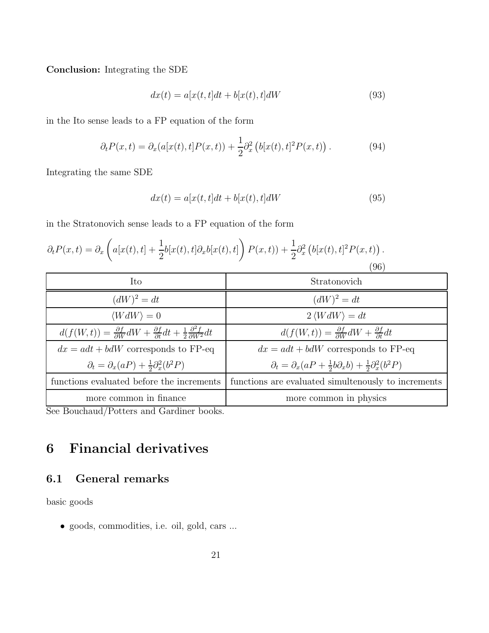Conclusion: Integrating the SDE

$$
dx(t) = a[x(t, t]dt + b[x(t), t]dW
$$
\n(93)

in the Ito sense leads to a FP equation of the form

$$
\partial_t P(x,t) = \partial_x (a[x(t),t]P(x,t)) + \frac{1}{2}\partial_x^2 (b[x(t),t]^2 P(x,t)). \tag{94}
$$

Integrating the same SDE

$$
dx(t) = a[x(t, t]dt + b[x(t), t]dW
$$
\n(95)

in the Stratonovich sense leads to a FP equation of the form

$$
\partial_t P(x,t) = \partial_x \left( a[x(t),t] + \frac{1}{2} b[x(t),t] \partial_x b[x(t),t] \right) P(x,t) + \frac{1}{2} \partial_x^2 \left( b[x(t),t]^2 P(x,t) \right). \tag{96}
$$

| Ito                                                                                                                              | Stratonovich                                                                             |
|----------------------------------------------------------------------------------------------------------------------------------|------------------------------------------------------------------------------------------|
| $(dW)^2 = dt$                                                                                                                    | $(dW)^2 = dt$                                                                            |
| $\langle WdW \rangle = 0$                                                                                                        | $2\langle WdW\rangle = dt$                                                               |
| $d(f(W,t)) = \frac{\partial f}{\partial W}dW + \frac{\partial f}{\partial t}dt + \frac{1}{2}\frac{\partial^2 f}{\partial W^2}dt$ | $d(f(W,t)) = \frac{\partial f}{\partial W}dW + \frac{\partial f}{\partial t}dt$          |
| $dx = adt + bdW$ corresponds to FP-eq                                                                                            | $dx = adt + bdW$ corresponds to FP-eq                                                    |
| $\partial_t = \partial_x(aP) + \frac{1}{2}\partial_x^2(b^2P)$                                                                    | $\partial_t = \partial_x(aP + \frac{1}{2}b\partial_x b) + \frac{1}{2}\partial_x^2(b^2P)$ |
| functions evaluated before the increments                                                                                        | functions are evaluated simulteriously to increments                                     |
| more common in finance                                                                                                           | more common in physics                                                                   |

See Bouchaud/Potters and Gardiner books.

## 6 Financial derivatives

## 6.1 General remarks

basic goods

• goods, commodities, i.e. oil, gold, cars ...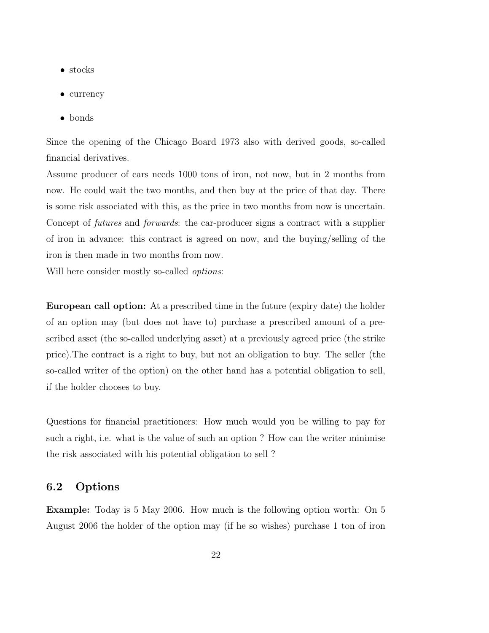- stocks
- currency
- bonds

Since the opening of the Chicago Board 1973 also with derived goods, so-called financial derivatives.

Assume producer of cars needs 1000 tons of iron, not now, but in 2 months from now. He could wait the two months, and then buy at the price of that day. There is some risk associated with this, as the price in two months from now is uncertain. Concept of *futures* and *forwards*: the car-producer signs a contract with a supplier of iron in advance: this contract is agreed on now, and the buying/selling of the iron is then made in two months from now.

Will here consider mostly so-called *options*:

European call option: At a prescribed time in the future (expiry date) the holder of an option may (but does not have to) purchase a prescribed amount of a prescribed asset (the so-called underlying asset) at a previously agreed price (the strike price).The contract is a right to buy, but not an obligation to buy. The seller (the so-called writer of the option) on the other hand has a potential obligation to sell, if the holder chooses to buy.

Questions for financial practitioners: How much would you be willing to pay for such a right, i.e. what is the value of such an option ? How can the writer minimise the risk associated with his potential obligation to sell ?

#### 6.2 Options

Example: Today is 5 May 2006. How much is the following option worth: On 5 August 2006 the holder of the option may (if he so wishes) purchase 1 ton of iron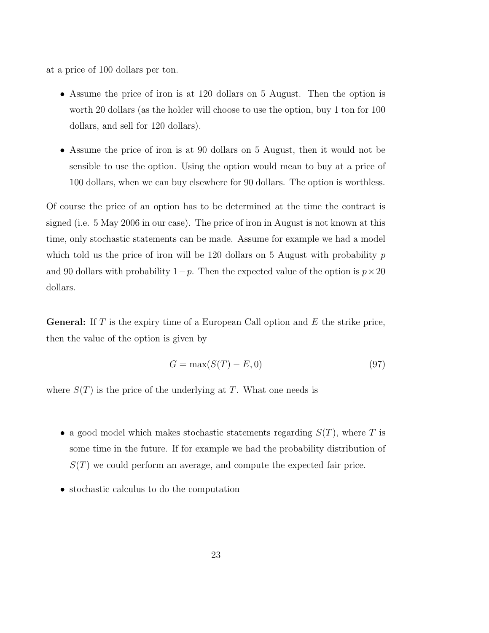at a price of 100 dollars per ton.

- Assume the price of iron is at 120 dollars on 5 August. Then the option is worth 20 dollars (as the holder will choose to use the option, buy 1 ton for 100 dollars, and sell for 120 dollars).
- Assume the price of iron is at 90 dollars on 5 August, then it would not be sensible to use the option. Using the option would mean to buy at a price of 100 dollars, when we can buy elsewhere for 90 dollars. The option is worthless.

Of course the price of an option has to be determined at the time the contract is signed (i.e. 5 May 2006 in our case). The price of iron in August is not known at this time, only stochastic statements can be made. Assume for example we had a model which told us the price of iron will be 120 dollars on 5 August with probability  $p$ and 90 dollars with probability  $1-p$ . Then the expected value of the option is  $p \times 20$ dollars.

**General:** If T is the expiry time of a European Call option and E the strike price, then the value of the option is given by

$$
G = \max(S(T) - E, 0) \tag{97}
$$

where  $S(T)$  is the price of the underlying at T. What one needs is

- a good model which makes stochastic statements regarding  $S(T)$ , where T is some time in the future. If for example we had the probability distribution of  $S(T)$  we could perform an average, and compute the expected fair price.
- stochastic calculus to do the computation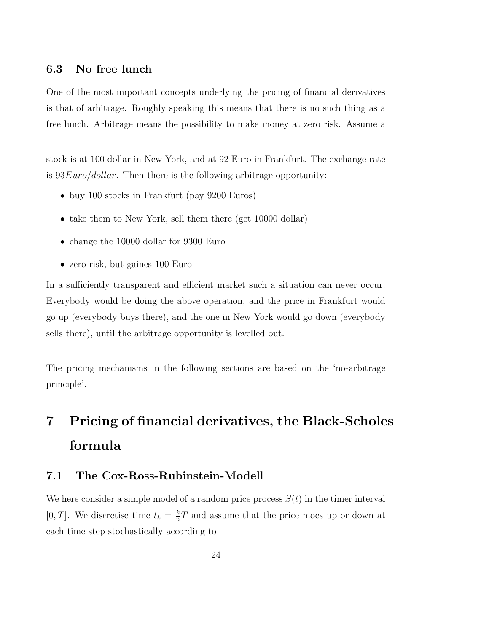#### 6.3 No free lunch

One of the most important concepts underlying the pricing of financial derivatives is that of arbitrage. Roughly speaking this means that there is no such thing as a free lunch. Arbitrage means the possibility to make money at zero risk. Assume a

stock is at 100 dollar in New York, and at 92 Euro in Frankfurt. The exchange rate is  $93Euro/dollar$ . Then there is the following arbitrage opportunity:

- buy 100 stocks in Frankfurt (pay 9200 Euros)
- take them to New York, sell them there (get 10000 dollar)
- change the 10000 dollar for 9300 Euro
- zero risk, but gaines 100 Euro

In a sufficiently transparent and efficient market such a situation can never occur. Everybody would be doing the above operation, and the price in Frankfurt would go up (everybody buys there), and the one in New York would go down (everybody sells there), until the arbitrage opportunity is levelled out.

The pricing mechanisms in the following sections are based on the 'no-arbitrage principle'.

# 7 Pricing of financial derivatives, the Black-Scholes formula

#### 7.1 The Cox-Ross-Rubinstein-Modell

We here consider a simple model of a random price process  $S(t)$  in the timer interval [0, T]. We discretise time  $t_k = \frac{k}{n}$  $\frac{k}{n}T$  and assume that the price moes up or down at each time step stochastically according to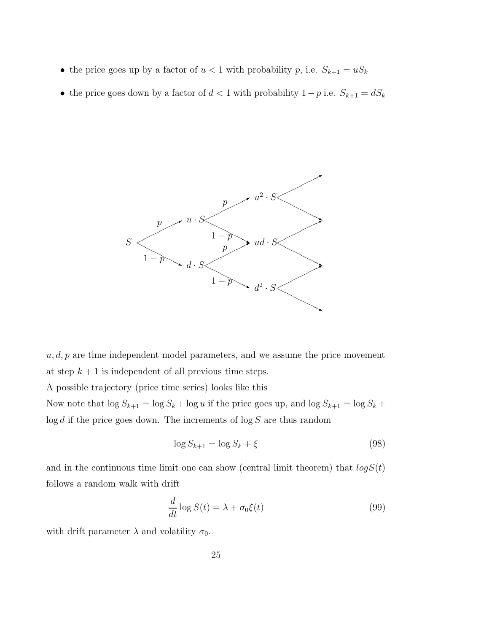- the price goes up by a factor of  $u < 1$  with probability p, i.e.  $S_{k+1} = uS_k$
- the price goes down by a factor of  $d < 1$  with probability  $1-p$  i.e.  $S_{k+1} = dS_k$



 $u, d, p$  are time independent model parameters, and we assume the price movement at step  $k + 1$  is independent of all previous time steps.

A possible trajectory (price time series) looks like this

Now note that  $\log S_{k+1} = \log S_k + \log u$  if the price goes up, and  $\log S_{k+1} = \log S_k +$  $\log d$  if the price goes down. The increments of  $\log S$  are thus random

$$
\log S_{k+1} = \log S_k + \xi \tag{98}
$$

and in the continuous time limit one can show (central limit theorem) that  $log S(t)$ follows a random walk with drift

$$
\frac{d}{dt}\log S(t) = \lambda + \sigma_0 \xi(t)
$$
\n(99)

with drift parameter  $\lambda$  and volatility  $\sigma_0$ .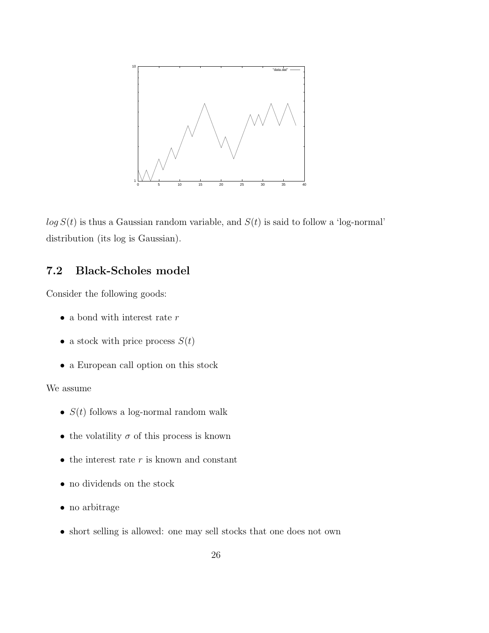

 $log S(t)$  is thus a Gaussian random variable, and  $S(t)$  is said to follow a 'log-normal' distribution (its log is Gaussian).

## 7.2 Black-Scholes model

Consider the following goods:

- $\bullet\,$  a bond with interest rate  $r$
- a stock with price process  $S(t)$
- a European call option on this stock

#### We assume

- $S(t)$  follows a log-normal random walk
- the volatility  $\sigma$  of this process is known
- $\bullet\,$  the interest rate  $r$  is known and constant
- no dividends on the stock
- no arbitrage
- short selling is allowed: one may sell stocks that one does not own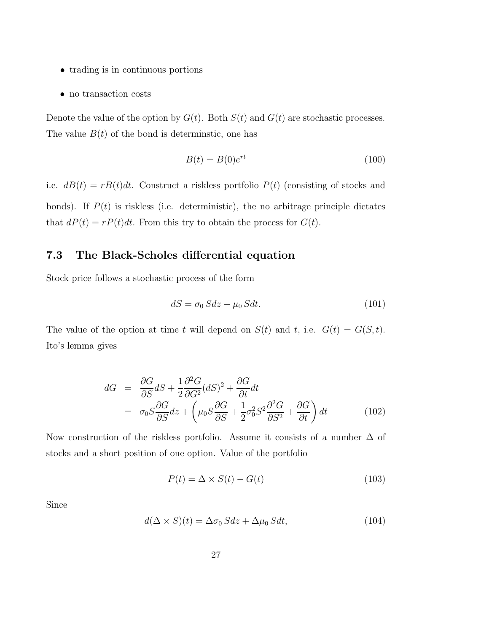- trading is in continuous portions
- no transaction costs

Denote the value of the option by  $G(t)$ . Both  $S(t)$  and  $G(t)$  are stochastic processes. The value  $B(t)$  of the bond is determinstic, one has

$$
B(t) = B(0)e^{rt}
$$
\n<sup>(100)</sup>

i.e.  $dB(t) = rB(t)dt$ . Construct a riskless portfolio  $P(t)$  (consisting of stocks and bonds). If  $P(t)$  is riskless (i.e. deterministic), the no arbitrage principle dictates that  $dP(t) = rP(t)dt$ . From this try to obtain the process for  $G(t)$ .

### 7.3 The Black-Scholes differential equation

Stock price follows a stochastic process of the form

$$
dS = \sigma_0 S dz + \mu_0 S dt. \tag{101}
$$

The value of the option at time t will depend on  $S(t)$  and t, i.e.  $G(t) = G(S, t)$ . Ito's lemma gives

$$
dG = \frac{\partial G}{\partial S} dS + \frac{1}{2} \frac{\partial^2 G}{\partial G^2} (dS)^2 + \frac{\partial G}{\partial t} dt
$$
  
=  $\sigma_0 S \frac{\partial G}{\partial S} dz + \left(\mu_0 S \frac{\partial G}{\partial S} + \frac{1}{2} \sigma_0^2 S^2 \frac{\partial^2 G}{\partial S^2} + \frac{\partial G}{\partial t}\right) dt$  (102)

Now construction of the riskless portfolio. Assume it consists of a number  $\Delta$  of stocks and a short position of one option. Value of the portfolio

$$
P(t) = \Delta \times S(t) - G(t) \tag{103}
$$

Since

$$
d(\Delta \times S)(t) = \Delta \sigma_0 S dz + \Delta \mu_0 S dt, \qquad (104)
$$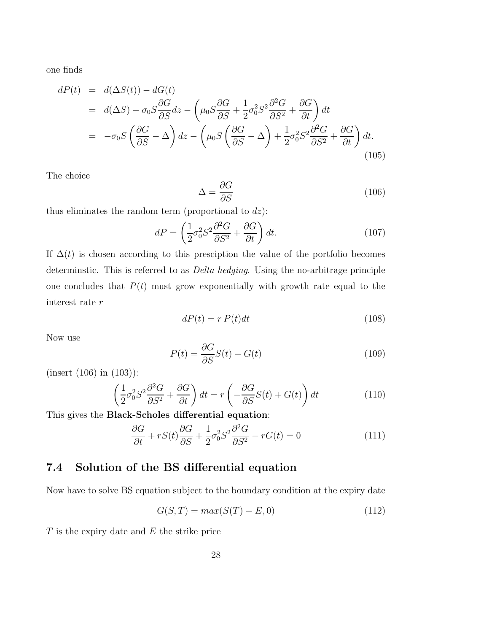one finds

$$
dP(t) = d(\Delta S(t)) - dG(t)
$$
  
=  $d(\Delta S) - \sigma_0 S \frac{\partial G}{\partial S} dz - \left(\mu_0 S \frac{\partial G}{\partial S} + \frac{1}{2} \sigma_0^2 S^2 \frac{\partial^2 G}{\partial S^2} + \frac{\partial G}{\partial t}\right) dt$   
=  $-\sigma_0 S \left(\frac{\partial G}{\partial S} - \Delta\right) dz - \left(\mu_0 S \left(\frac{\partial G}{\partial S} - \Delta\right) + \frac{1}{2} \sigma_0^2 S^2 \frac{\partial^2 G}{\partial S^2} + \frac{\partial G}{\partial t}\right) dt.$  (105)

The choice

$$
\Delta = \frac{\partial G}{\partial S} \tag{106}
$$

thus eliminates the random term (proportional to  $dz$ ):

$$
dP = \left(\frac{1}{2}\sigma_0^2 S^2 \frac{\partial^2 G}{\partial S^2} + \frac{\partial G}{\partial t}\right) dt.
$$
 (107)

If  $\Delta(t)$  is chosen according to this presciption the value of the portfolio becomes determinstic. This is referred to as Delta hedging. Using the no-arbitrage principle one concludes that  $P(t)$  must grow exponentially with growth rate equal to the interest rate r

$$
dP(t) = r P(t)dt
$$
\n(108)

Now use

$$
P(t) = \frac{\partial G}{\partial S}S(t) - G(t)
$$
\n(109)

(insert (106) in (103)):

$$
\left(\frac{1}{2}\sigma_0^2 S^2 \frac{\partial^2 G}{\partial S^2} + \frac{\partial G}{\partial t}\right) dt = r \left(-\frac{\partial G}{\partial S} S(t) + G(t)\right) dt \tag{110}
$$

This gives the Black-Scholes differential equation:

$$
\frac{\partial G}{\partial t} + rS(t)\frac{\partial G}{\partial S} + \frac{1}{2}\sigma_0^2 S^2 \frac{\partial^2 G}{\partial S^2} - rG(t) = 0
$$
\n(111)

## 7.4 Solution of the BS differential equation

Now have to solve BS equation subject to the boundary condition at the expiry date

$$
G(S,T) = max(S(T) - E, 0)
$$
\n
$$
(112)
$$

 $T$  is the expiry date and  $E$  the strike price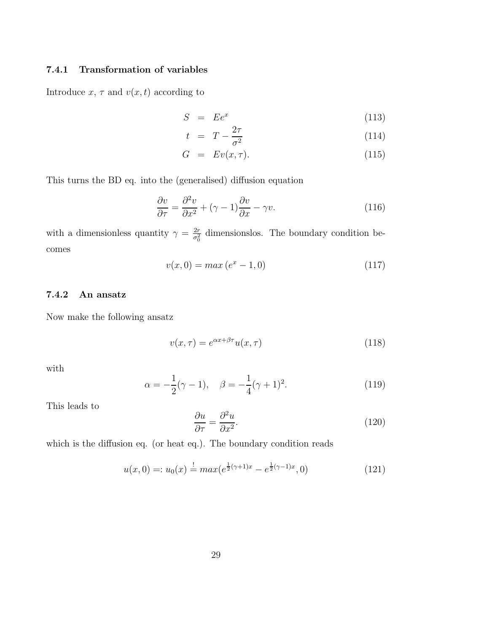#### 7.4.1 Transformation of variables

Introduce  $x, \tau$  and  $v(x,t)$  according to

$$
S = E e^x \tag{113}
$$

$$
t = T - \frac{2\tau}{\sigma^2} \tag{114}
$$

$$
G = Ev(x, \tau). \tag{115}
$$

This turns the BD eq. into the (generalised) diffusion equation

$$
\frac{\partial v}{\partial \tau} = \frac{\partial^2 v}{\partial x^2} + (\gamma - 1)\frac{\partial v}{\partial x} - \gamma v.
$$
 (116)

with a dimensionless quantity  $\gamma = \frac{2r}{\sigma^2}$  $\frac{2r}{\sigma_0^2}$  dimensionslos. The boundary condition becomes

$$
v(x,0) = max(e^x - 1,0)
$$
 (117)

#### 7.4.2 An ansatz

Now make the following ansatz

$$
v(x,\tau) = e^{\alpha x + \beta \tau} u(x,\tau)
$$
\n(118)

with

$$
\alpha = -\frac{1}{2}(\gamma - 1), \quad \beta = -\frac{1}{4}(\gamma + 1)^2.
$$
 (119)

This leads to

$$
\frac{\partial u}{\partial \tau} = \frac{\partial^2 u}{\partial x^2}.
$$
\n(120)

which is the diffusion eq. (or heat eq.). The boundary condition reads

$$
u(x,0) =: u_0(x) \stackrel{!}{=} \max(e^{\frac{1}{2}(\gamma+1)x} - e^{\frac{1}{2}(\gamma-1)x}, 0)
$$
\n(121)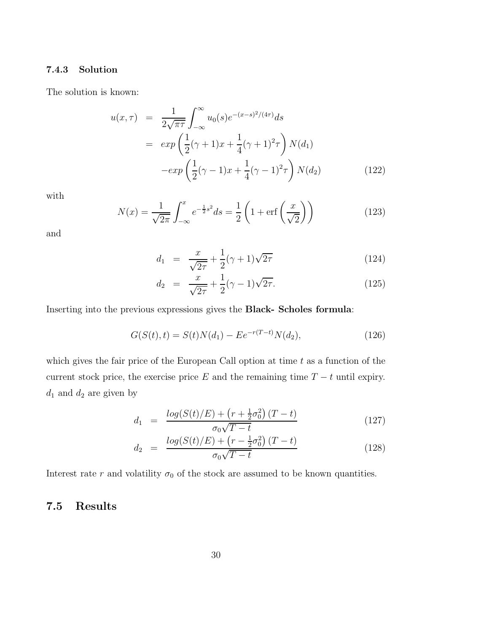#### 7.4.3 Solution

The solution is known:

$$
u(x,\tau) = \frac{1}{2\sqrt{\pi\tau}} \int_{-\infty}^{\infty} u_0(s) e^{-(x-s)^2/(4\tau)} ds
$$
  
\n
$$
= exp\left(\frac{1}{2}(\gamma+1)x + \frac{1}{4}(\gamma+1)^2\tau\right) N(d_1)
$$
  
\n
$$
-exp\left(\frac{1}{2}(\gamma-1)x + \frac{1}{4}(\gamma-1)^2\tau\right) N(d_2)
$$
 (122)

with

$$
N(x) = \frac{1}{\sqrt{2\pi}} \int_{-\infty}^{x} e^{-\frac{1}{2}s^2} ds = \frac{1}{2} \left( 1 + \text{erf}\left(\frac{x}{\sqrt{2}}\right) \right)
$$
(123)

and

$$
d_1 = \frac{x}{\sqrt{2\tau}} + \frac{1}{2}(\gamma + 1)\sqrt{2\tau}
$$
 (124)

$$
d_2 = \frac{x}{\sqrt{2\tau}} + \frac{1}{2}(\gamma - 1)\sqrt{2\tau}.
$$
 (125)

Inserting into the previous expressions gives the Black- Scholes formula:

$$
G(S(t),t) = S(t)N(d_1) - E e^{-r(T-t)}N(d_2),
$$
\n(126)

which gives the fair price of the European Call option at time  $t$  as a function of the current stock price, the exercise price E and the remaining time  $T - t$  until expiry.  $d_1$  and  $d_2$  are given by

$$
d_1 = \frac{\log(S(t)/E) + \left(r + \frac{1}{2}\sigma_0^2\right)(T - t)}{\sigma_0\sqrt{T - t}}\tag{127}
$$

$$
d_2 = \frac{\log(S(t)/E) + (r - \frac{1}{2}\sigma_0^2)(T - t)}{\sigma_0\sqrt{T - t}}
$$
\n(128)

Interest rate  $r$  and volatility  $\sigma_0$  of the stock are assumed to be known quantities.

### 7.5 Results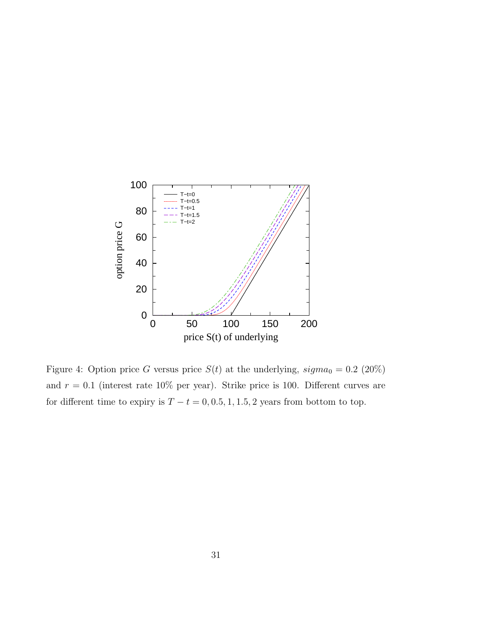

Figure 4: Option price G versus price  $S(t)$  at the underlying,  $sigma_0 = 0.2$  (20%) and  $r = 0.1$  (interest rate 10% per year). Strike price is 100. Different curves are for different time to expiry is  $T - t = 0, 0.5, 1, 1.5, 2$  years from bottom to top.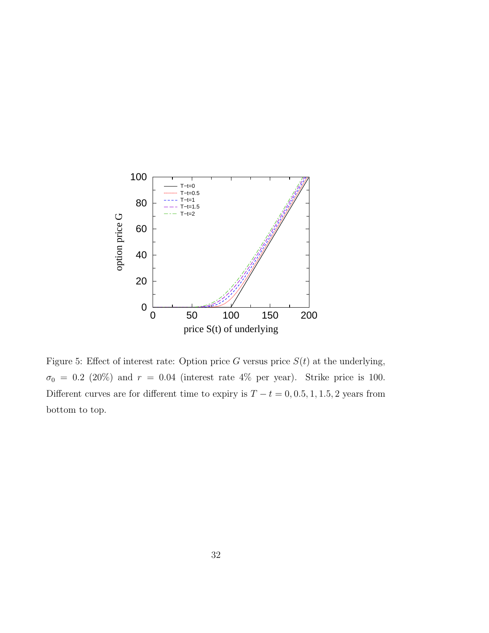

Figure 5: Effect of interest rate: Option price G versus price  $S(t)$  at the underlying,  $\sigma_0 = 0.2$  (20%) and  $r = 0.04$  (interest rate 4% per year). Strike price is 100. Different curves are for different time to expiry is  $T - t = 0, 0.5, 1, 1.5, 2$  years from bottom to top.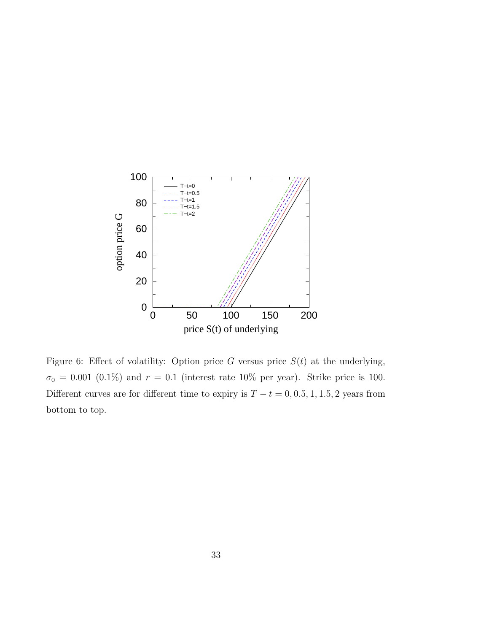

Figure 6: Effect of volatility: Option price G versus price  $S(t)$  at the underlying,  $\sigma_0 = 0.001$  (0.1%) and  $r = 0.1$  (interest rate 10% per year). Strike price is 100. Different curves are for different time to expiry is  $T - t = 0, 0.5, 1, 1.5, 2$  years from bottom to top.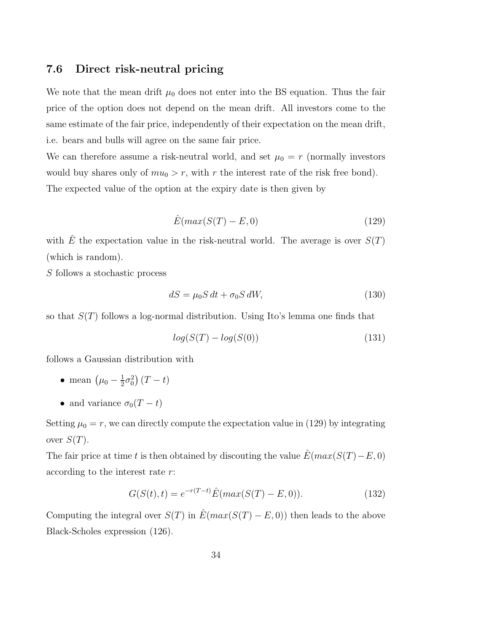#### 7.6 Direct risk-neutral pricing

We note that the mean drift  $\mu_0$  does not enter into the BS equation. Thus the fair price of the option does not depend on the mean drift. All investors come to the same estimate of the fair price, independently of their expectation on the mean drift, i.e. bears and bulls will agree on the same fair price.

We can therefore assume a risk-neutral world, and set  $\mu_0 = r$  (normally investors would buy shares only of  $mu_0 > r$ , with r the interest rate of the risk free bond). The expected value of the option at the expiry date is then given by

$$
\hat{E}(max(S(T) - E, 0) \tag{129}
$$

with  $\hat{E}$  the expectation value in the risk-neutral world. The average is over  $S(T)$ (which is random).

S follows a stochastic process

$$
dS = \mu_0 S dt + \sigma_0 S dW,
$$
\n(130)

so that  $S(T)$  follows a log-normal distribution. Using Ito's lemma one finds that

$$
log(S(T) - log(S(0))
$$
\n(131)

follows a Gaussian distribution with

- mean  $(\mu_0 \frac{1}{2})$  $\frac{1}{2}\sigma_0^2(T-t)$
- and variance  $\sigma_0(T-t)$

Setting  $\mu_0 = r$ , we can directly compute the expectation value in (129) by integrating over  $S(T)$ .

The fair price at time t is then obtained by discouting the value  $E(max(S(T)-E, 0)$ according to the interest rate r:

$$
G(S(t), t) = e^{-r(T-t)} \hat{E}(max(S(T) - E, 0)).
$$
\n(132)

Computing the integral over  $S(T)$  in  $\hat{E}(max(S(T) - E, 0))$  then leads to the above Black-Scholes expression (126).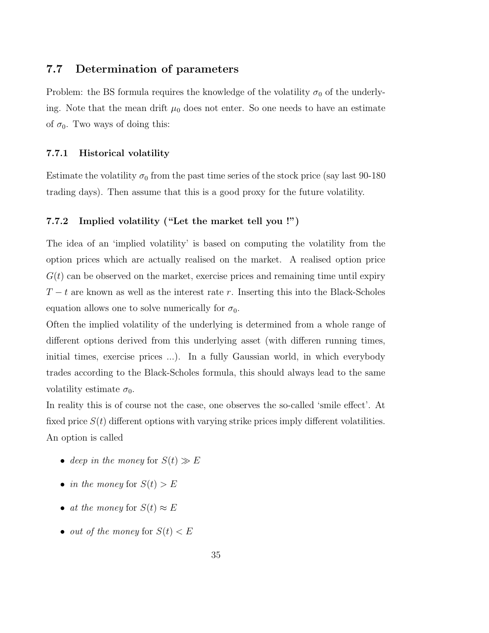#### 7.7 Determination of parameters

Problem: the BS formula requires the knowledge of the volatility  $\sigma_0$  of the underlying. Note that the mean drift  $\mu_0$  does not enter. So one needs to have an estimate of  $\sigma_0$ . Two ways of doing this:

#### 7.7.1 Historical volatility

Estimate the volatility  $\sigma_0$  from the past time series of the stock price (say last 90-180) trading days). Then assume that this is a good proxy for the future volatility.

#### 7.7.2 Implied volatility ("Let the market tell you !")

The idea of an 'implied volatility' is based on computing the volatility from the option prices which are actually realised on the market. A realised option price  $G(t)$  can be observed on the market, exercise prices and remaining time until expiry  $T - t$  are known as well as the interest rate r. Inserting this into the Black-Scholes equation allows one to solve numerically for  $\sigma_0$ .

Often the implied volatility of the underlying is determined from a whole range of different options derived from this underlying asset (with differen running times, initial times, exercise prices ...). In a fully Gaussian world, in which everybody trades according to the Black-Scholes formula, this should always lead to the same volatility estimate  $\sigma_0$ .

In reality this is of course not the case, one observes the so-called 'smile effect'. At fixed price  $S(t)$  different options with varying strike prices imply different volatilities. An option is called

- deep in the money for  $S(t) \gg E$
- in the money for  $S(t) > E$
- at the money for  $S(t) \approx E$
- out of the money for  $S(t) < E$